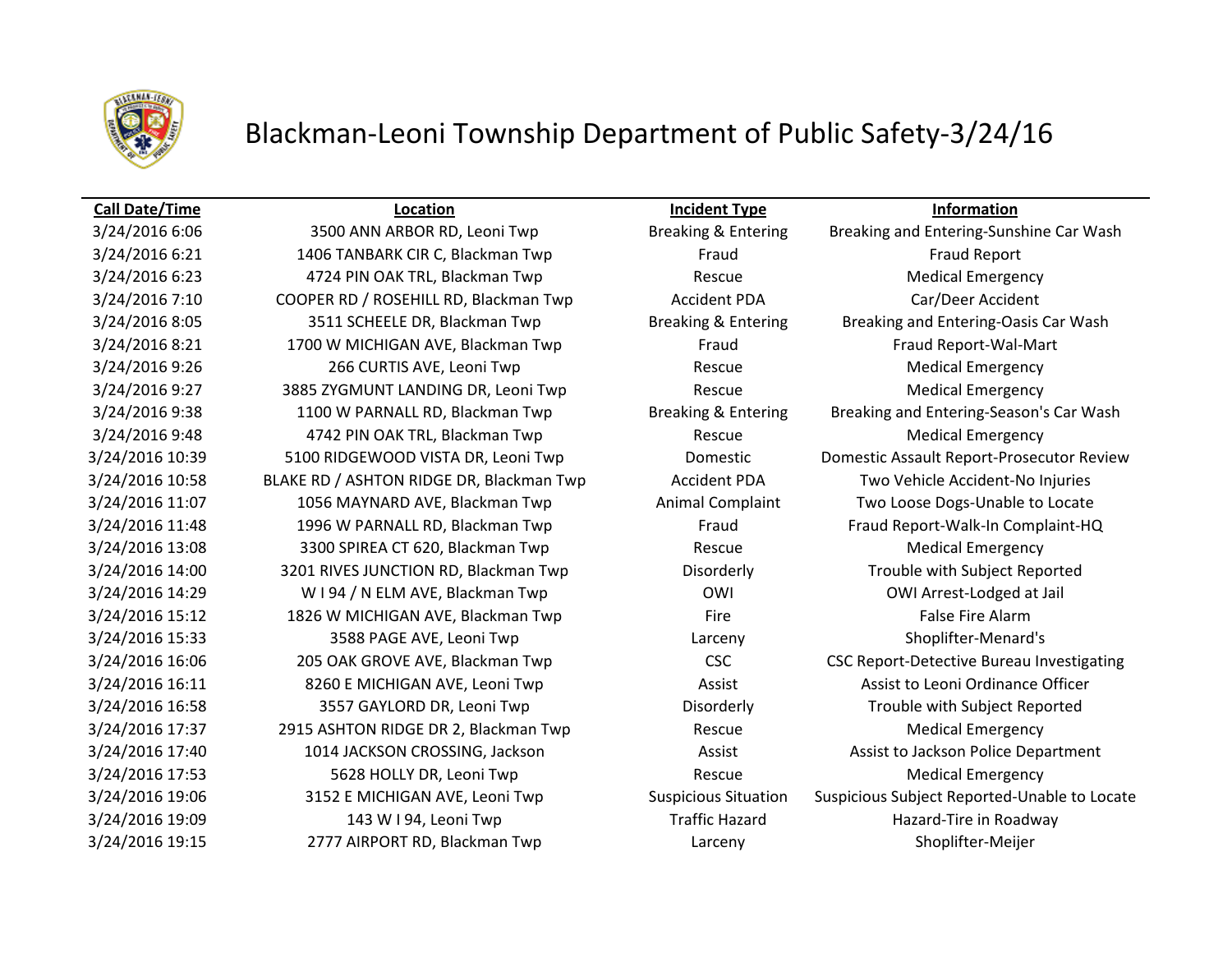

## Blackman-Leoni Township Department of Public Safety-3/24/16

## **Call Date/Time Location Incident Type Information**

3/24/2016 6:21 1406 TANBARK CIR C, Blackman Twp Fraud Fraud Fraud Fraud Report 3/24/2016 6:23 4724 PIN OAK TRL, Blackman Twp Rescue Medical Emergency 3/24/2016 7:10 COOPER RD / ROSEHILL RD, Blackman Twp CACCIDENT PDA Car/Deer Accident 3/24/2016 8:21 1700 W MICHIGAN AVE, Blackman Twp Fraud Fraud Fraud Report-Wal-Mart 3/24/2016 9:26 266 CURTIS AVE, Leoni Twp Rescue Rescue Medical Emergency 3/24/2016 9:27 3885 ZYGMUNT LANDING DR, Leoni Twp Rescue Rescue Medical Emergency 3/24/2016 9:48 1742 PIN OAK TRL, Blackman Twp Rescue Rescue Medical Emergency 3/24/2016 10:58 BLAKE RD / ASHTON RIDGE DR, Blackman Twp Accident PDA Two Vehicle Accident-No Injuries 3/24/2016 11:07 1056 MAYNARD AVE, Blackman Twp Animal Complaint Two Loose Dogs-Unable to Locate 3/24/2016 13:08 3300 SPIREA CT 620, Blackman Twp **Rescue** Rescue Medical Emergency 3/24/2016 14:00 3201 RIVES JUNCTION RD, Blackman Twp Disorderly Trouble with Subject Reported 3/24/2016 14:29 W I 94 / N ELM AVE, Blackman Twp OWI OWI Arrest-Lodged at Jail 3/24/2016 15:12 1826 W MICHIGAN AVE, Blackman Twp Fire Fire Fire False Fire Alarm 3/24/2016 15:33 3588 PAGE AVE, Leoni Twp Larceny Shoplifter-Menard's 3/24/2016 16:11 8260 E MICHIGAN AVE, Leoni Twp **Assist Assist Assist Communist Assist to Leoni Ordinance Officer** 3/24/2016 16:58 3557 GAYLORD DR, Leoni Twp Disorderly Trouble with Subject Reported 3/24/2016 17:37 2915 ASHTON RIDGE DR 2, Blackman Twp Rescue Rescue Medical Emergency 3/24/2016 17:53 5628 HOLLY DR, Leoni Twp Rescue Rescue Medical Emergency 3/24/2016 19:09 143 W I 94, Leoni Twp Traffic Hazard Hazard Hazard-Tire in Roadway 3/24/2016 19:15 2777 AIRPORT RD, Blackman Twp Larceny Shoplifter-Meijer

3/24/2016 6:06 3500 ANN ARBOR RD, Leoni Twp Breaking & Entering Breaking and Entering-Sunshine Car Wash 3/24/2016 8:05 3511 SCHEELE DR, Blackman Twp Breaking & Entering Breaking and Entering-Oasis Car Wash 3/24/2016 9:38 1100 W PARNALL RD, Blackman Twp Breaking & Entering Breaking and Entering-Season's Car Wash 3/24/2016 10:39 5100 RIDGEWOOD VISTA DR, Leoni Twp Domestic Domestic Assault Report-Prosecutor Review 3/24/2016 11:48 1996 W PARNALL RD, Blackman Twp Fraud Fraud Fraud Fraud Report-Walk-In Complaint-HQ 3/24/2016 16:06 205 OAK GROVE AVE, Blackman Twp CSC CSC CSC Report-Detective Bureau Investigating 3/24/2016 17:40 1014 JACKSON CROSSING, Jackson Assist Assist Assist to Jackson Police Department 3/24/2016 19:06 3152 E MICHIGAN AVE, Leoni Twp Suspicious Situation Suspicious Subject Reported-Unable to Locate